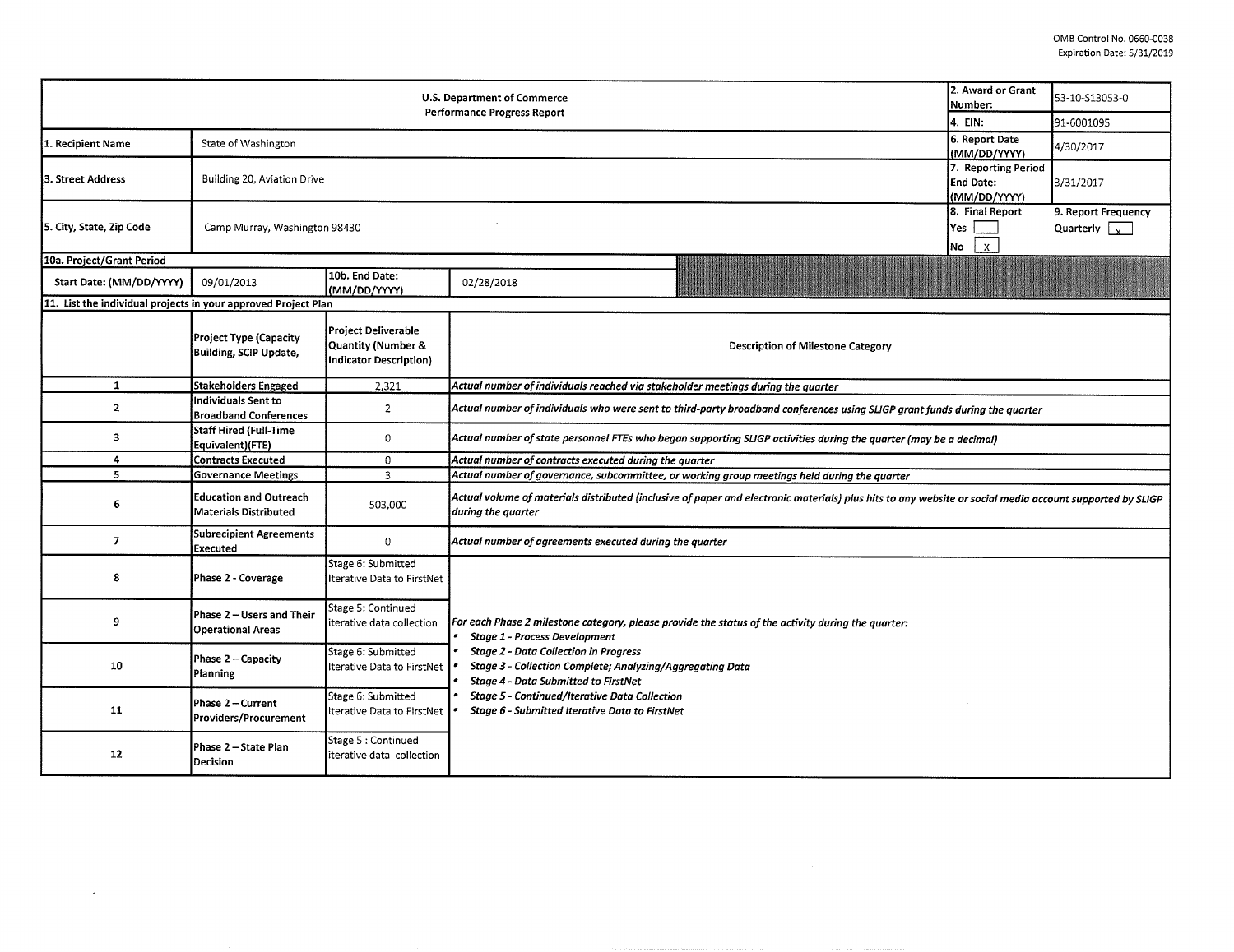|                                                                | 2. Award or Grant<br>Number:                            | 53-10-S13053-0                                                                    |                                                                                                                                                                                                                                                                                                                                                                                                           |  |  |  |  |  |  |
|----------------------------------------------------------------|---------------------------------------------------------|-----------------------------------------------------------------------------------|-----------------------------------------------------------------------------------------------------------------------------------------------------------------------------------------------------------------------------------------------------------------------------------------------------------------------------------------------------------------------------------------------------------|--|--|--|--|--|--|
|                                                                | 4. EIN:                                                 | 91-6001095                                                                        |                                                                                                                                                                                                                                                                                                                                                                                                           |  |  |  |  |  |  |
| 1. Recipient Name                                              | State of Washington                                     | 6. Report Date<br>(MM/DD/YYYY)                                                    | 4/30/2017                                                                                                                                                                                                                                                                                                                                                                                                 |  |  |  |  |  |  |
| 3. Street Address                                              | Building 20, Aviation Drive                             | 7. Reporting Period<br>End Date:<br>(MM/DD/YYYY)                                  | 3/31/2017                                                                                                                                                                                                                                                                                                                                                                                                 |  |  |  |  |  |  |
| 5. City, State, Zip Code                                       | Camp Murray, Washington 98430                           | 8. Final Report<br>Yes<br>$\mathbf{x}$<br> No                                     | 9. Report Frequency<br>Quarterly $\sqrt{x}$                                                                                                                                                                                                                                                                                                                                                               |  |  |  |  |  |  |
| 10a. Project/Grant Period                                      |                                                         |                                                                                   |                                                                                                                                                                                                                                                                                                                                                                                                           |  |  |  |  |  |  |
| Start Date: (MM/DD/YYYY)                                       | 09/01/2013                                              | 10b. End Date:<br>(MM/DD/YYYY)                                                    | 02/28/2018                                                                                                                                                                                                                                                                                                                                                                                                |  |  |  |  |  |  |
| 11. List the individual projects in your approved Project Plan |                                                         |                                                                                   |                                                                                                                                                                                                                                                                                                                                                                                                           |  |  |  |  |  |  |
|                                                                | <b>Project Type (Capacity</b><br>Building, SCIP Update, | <b>Project Deliverable</b><br>Quantity (Number &<br><b>Indicator Description)</b> | <b>Description of Milestone Category</b>                                                                                                                                                                                                                                                                                                                                                                  |  |  |  |  |  |  |
| $\mathbf{1}$                                                   | Stakeholders Engaged                                    | 2,321                                                                             | Actual number of individuals reached via stakeholder meetings during the quarter                                                                                                                                                                                                                                                                                                                          |  |  |  |  |  |  |
| $\overline{2}$                                                 | Individuals Sent to<br><b>Broadband Conferences</b>     | $\overline{2}$                                                                    | Actual number of individuals who were sent to third-party broadband conferences using SLIGP grant funds during the quarter                                                                                                                                                                                                                                                                                |  |  |  |  |  |  |
| 3                                                              | Staff Hired (Full-Time<br>Equivalent)(FTE)              | 0                                                                                 | Actual number of state personnel FTEs who began supporting SLIGP activities during the quarter (may be a decimal)                                                                                                                                                                                                                                                                                         |  |  |  |  |  |  |
| 4                                                              | <b>Contracts Executed</b>                               | $\mathbf 0$                                                                       |                                                                                                                                                                                                                                                                                                                                                                                                           |  |  |  |  |  |  |
| 5.                                                             | <b>Governance Meetings</b>                              | 3                                                                                 | Actual number of governance, subcommittee, or working group meetings held during the quarter                                                                                                                                                                                                                                                                                                              |  |  |  |  |  |  |
| 6                                                              | <b>Education and Outreach</b><br>Materials Distributed  | 503,000                                                                           | Actual volume of materials distributed (inclusive of paper and electronic materials) plus hits to any website or social media account supported by SLIGP<br>during the quarter                                                                                                                                                                                                                            |  |  |  |  |  |  |
| $\overline{7}$                                                 | <b>Subrecipient Agreements</b><br>Executed              | $\circ$                                                                           | Actual number of agreements executed during the quarter                                                                                                                                                                                                                                                                                                                                                   |  |  |  |  |  |  |
| 8                                                              | Phase 2 - Coverage                                      | Stage 6: Submitted<br>Iterative Data to FirstNet                                  |                                                                                                                                                                                                                                                                                                                                                                                                           |  |  |  |  |  |  |
| 9                                                              | Phase 2 - Users and Their<br><b>Operational Areas</b>   | Stage 5: Continued<br>terative data collection                                    | For each Phase 2 milestone category, please provide the status of the activity during the quarter:<br><b>Stage 1 - Process Development</b><br><b>Stage 2 - Data Collection in Progress</b><br>Stage 3 - Collection Complete; Analyzing/Aggregating Data<br><b>Stage 4 - Data Submitted to FirstNet</b><br>Stage 5 - Continued/Iterative Data Collection<br>Stage 6 - Submitted Iterative Data to FirstNet |  |  |  |  |  |  |
| 10                                                             | Phase 2 - Capacity<br>Planning                          | Stage 6: Submitted<br>Iterative Data to FirstNet                                  |                                                                                                                                                                                                                                                                                                                                                                                                           |  |  |  |  |  |  |
| 11                                                             | Phase 2 - Current<br><b>Providers/Procurement</b>       | Stage 6: Submitted<br>Iterative Data to FirstNet                                  |                                                                                                                                                                                                                                                                                                                                                                                                           |  |  |  |  |  |  |
| 12                                                             | Phase 2 - State Plan<br>Decision                        | Stage 5 : Continued<br>iterative data collection                                  |                                                                                                                                                                                                                                                                                                                                                                                                           |  |  |  |  |  |  |

 $\sim$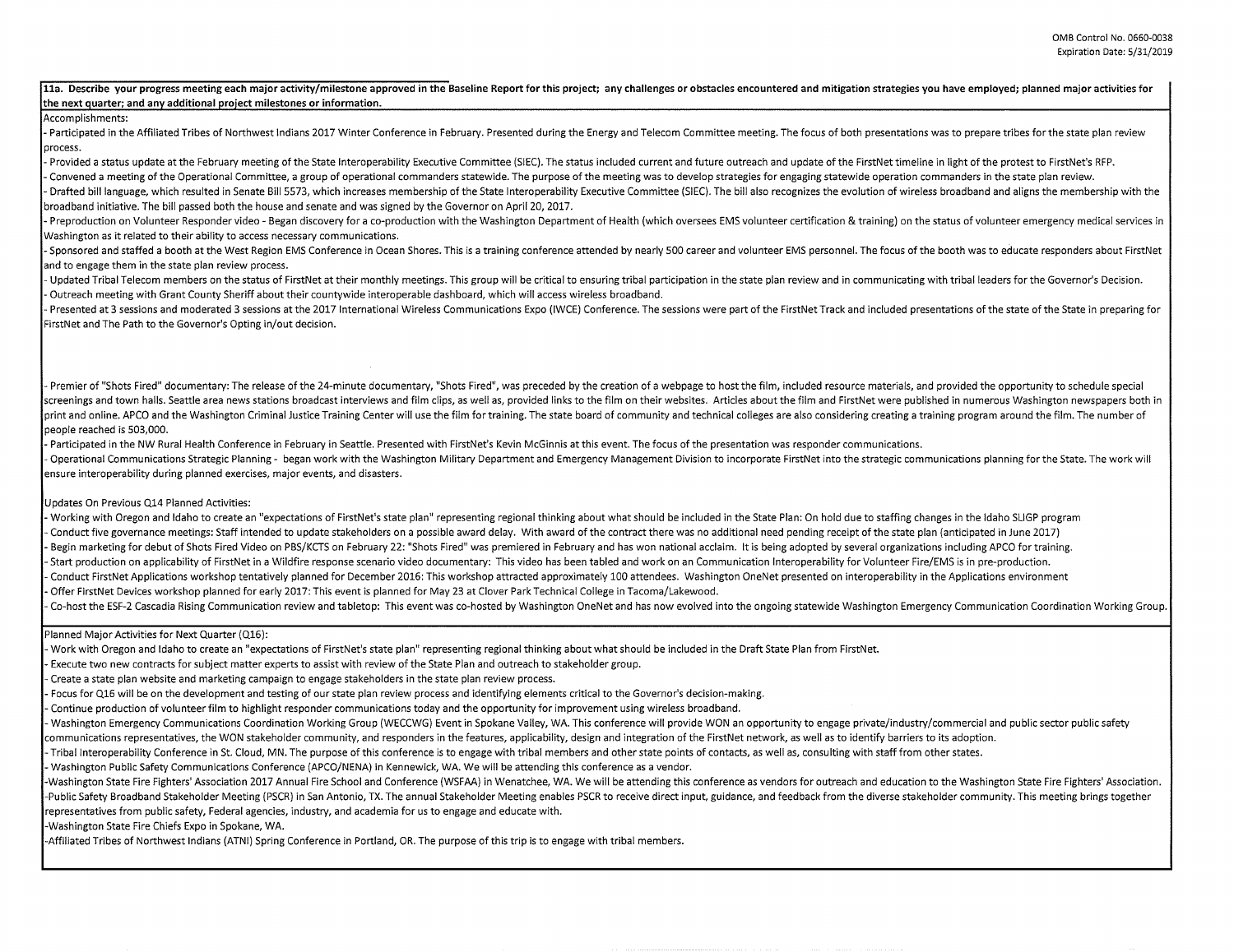## 11a. Describe your progress meeting each major activity/milestone approved in the Baseline Report for this project; any challenges or obstacles encountered and mitigation strategies you have employed; planned major activit **the next auarter; and anv additional oroiect milestones or information.**

## Accomplishments:

- Participated in the Affiliated Tribes of Northwest Indians 2017 Winter Conference in February. Presented during the Energy and Telecom Committee meeting. The focus of both presentations was to prepare tribes for the stat process.

Provided a status update at the February meeting of the State Interoperability Executive Committee (SIEC). The status included current and future outreach and update of the FirstNet timeline in light of the protest to Firs Convened a meeting of the Operational Committee, a group of operational commanders statewide. The purpose of the meeting was to develop strategies for engaging statewide operation commanders in the state plan review. Drafted bill language, which resulted in Senate Bill 5573, which increases membership of the State Interoperability Executive Committee (SIEC). The bill also recognizes the evolution of wireless broadband and aligns the me broadband initiative. The bill passed both the house and senate and was signed by the Governor on April 20, 2017.

- Preproduction on Volunteer Responder video - Began discovery for a co-production with the Washington Department of Health (which oversees EMS volunteer certification & training) on the status of volunteer emergency medic Washington as it related to their ability to access necessary communications.

- Sponsored and staffed a booth at the West Region EMS Conference in Ocean Shores. This is a training conference attended by nearly 500 career and volunteer EMS personnel. The focus of the booth was to educate responders a and to engage them in the state plan review process.

- Updated Tribal Telecom members on the status of FirstNet at their monthly meetings. This group will be critical to ensuring tribal participation in the state plan review and in communicating with tribal leaders for the G Outreach meeting with Grant County Sheriff about their countywide interoperable dashboard, which will access wireless broadband.

- Presented at 3 sessions and moderated 3 sessions at the 2017 International Wireless Communications Expo (IWCE) Conference. The sessions were part of the FirstNet Track and included presentations of the state of the State FirstNet and The Path to the Governor's Opting in/out decision.

- Premier of "Shots Fired" documentary: The release of the 24-minute documentary, "Shots Fired", was preceded by the creation of a webpage to host the film, included resource materials, and provided the opportunity to sche screenings and town halls. Seattle area news stations broadcast interviews and film clips, as well as, provided links to the film on their websites. Articles about the film and FirstNet were published in numerous Washingto print and online. APCO and the Washington Criminal Justice Training Center will use the film for training. The state board of community and technical colleges are also considering creating a training program around the fil people reached is 503,000.

- Participated in the NW Rural Health Conference in February in Seattle. Presented with FirstNet's Kevin McGinnis at this event. The focus of the presentation was responder communications. - Operational Communications Strategic Planning - began work with the Washington Military Department and Emergency Management Division to incorporate FirstNet into the strategic communications planning for the State. The w ensure interoperability during planned exercises, major events, and disasters.

## Updates On Previous Q14 Planned Activities:

- Working with Oregon and Idaho to create an "expectations of FirstNet's state plan" representing regional thinking about what should be included in the State Plan: On hold due to staffing changes in the Idaho SLIGP program Conduct five governance meetings: Staff intended to update stakeholders on a possible award delay. With award of the contract there was no additional need pending receipt of the state plan (anticipated in June 2017) Begin marketing for debut of Shots Fired Video on PBS/KCTS on February 22: "Shots Fired" was premiered in February and has won national acclaim. It is being adopted by several organizations including APCO for training. Start production on applicability of FirstNet in a Wildfire response scenario video documentary: This video has been tabled and work on an Communication Interoperability for Volunteer Fire/EMS is in pre-production. Conduct FirstNet Applications workshop tentatively planned for December 2016: This workshop attracted approximately 100 attendees. Washington OneNet presented on interoperability in the Applications environment Offer FirstNet Devices workshop planned for early 2017: This event is planned for May 23 at Clover Park Technical College in Tacoma/Lakewood.

Co-host the ESF-2 Cascadia Rising Communication review and tabletop: This event was co-hosted by Washington OneNet and has now evolved into the ongoing statewide Washington Emergency Communication Coordination Working Group.

## Planned Major Activities for Next Quarter (Q16):

Work with Oregon and Idaho to create an "expectations of FirstNet's state plan" representing regional thinking about what should be included in the Draft State Plan from FirstNet.

Execute two new contracts for subject matter experts to assist with review of the State Plan and outreach to stakeholder group.

Create a state plan website and marketing campaign to engage stakeholders in the state plan review process.

Focus for Q16 will be on the development and testing of our state plan review process and identifying elements critical to the Governor's decision-making.

Continue production of volunteer film to highlight responder communications today and the opportunity for improvement using wireless broadband.

Washington Emergency Communications Coordination Working Group (WECCWG) Event in Spokane Valley, WA. This conference will provide WON an opportunity to engage private/industry/commercial and public sector public safety

communications representatives, the WON stakeholder community, and responders in the features, applicability, design and integration of the FirstNet network, as well as to identify barriers to its adoption.

Tribal Interoperability Conference in St. Cloud, MN. The purpose of this conference is to engage with tribal members and other state points of contacts, as well as, consulting with staff from other states.

Washington Public Safety Communications Conference (APCO/NENA) in Kennewick, WA. We will be attending this conference as a vendor.

-Washington State Fire Fighters' Association 2017 Annual Fire School and Conference (WSFAA) in Wenatchee. WA, We will be attending this conference as vendors for outreach and education to the Washington State Fire Fighters -Public Safety Broadband Stakeholder Meeting (PSCR) in San Antonio, TX. The annual Stakeholder Meeting enables PSCR to receive direct input, guidance, and feedback from the diverse stakeholder community. This meeting bring representatives from public safety, Federal agencies, industry, and academia for us to engage and educate with.

-Washington State Fire Chiefs Expo in Spokane, WA.

-Affiliated Tribes of Northwest Indians (ATNI) Spring Conference in Portland, OR. The purpose of this trip is to engage with tribal members.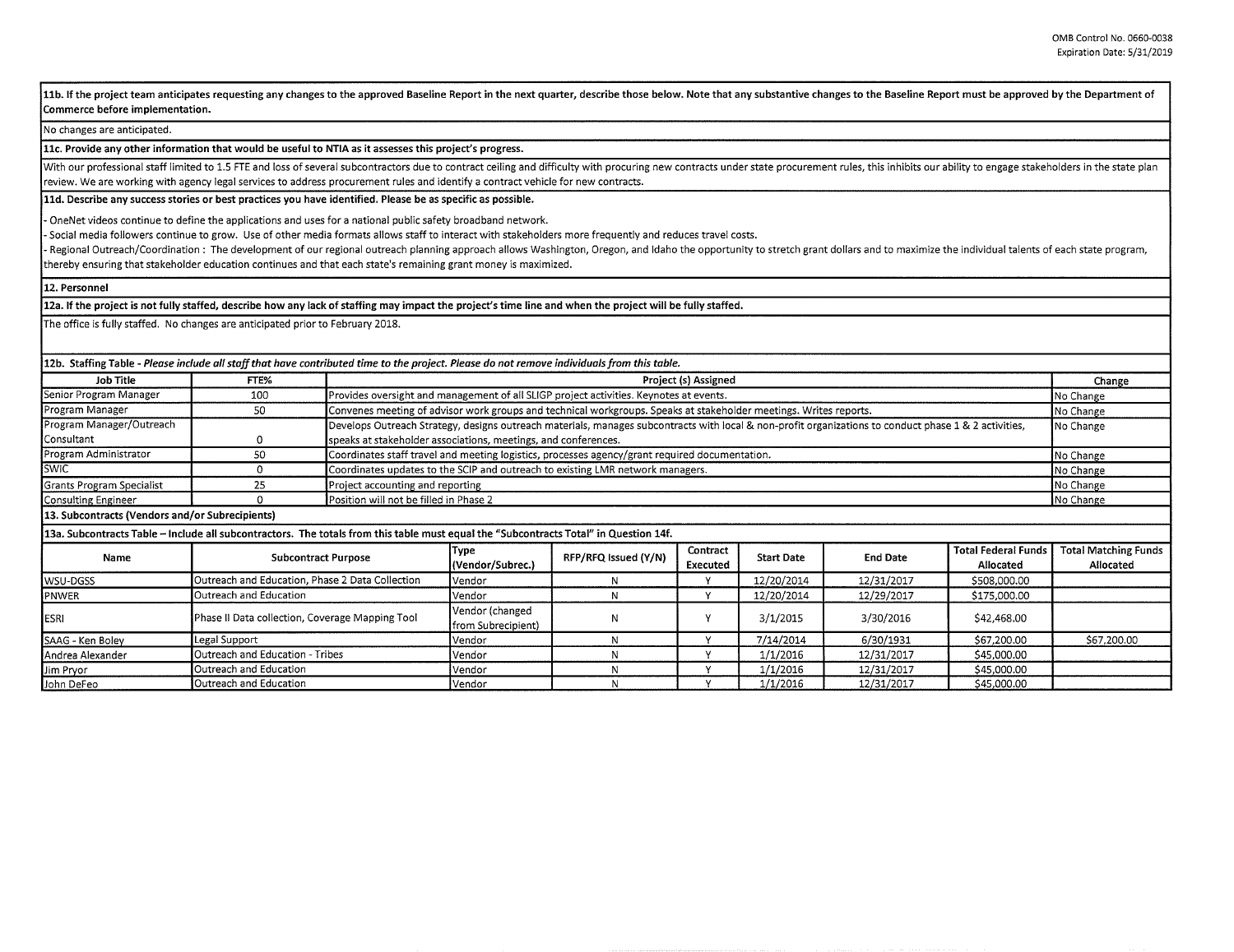11b. If the project team anticipates requesting any changes to the approved Baseline Report in the next quarter, describe those below. Note that any substantive changes to the Baseline Report must be approved by the Depart **Commerce before implementation.** 

No changes are anticipated.

**llc. Provide any other information that would be useful to NTIA as it assesses this project's progress.** 

With our professional staff limited to 1.5 FTE and loss of several subcontractors due to contract ceiling and difficulty with procuring new contracts under state procurement rules, this inhibits our ability to engage stake review. We are working with agency legal services to address procurement rules and identify a contract vehicle for new contracts.

**lld. Describe any success stories or best practices you have identified. Please be as specific as possible.** 

OneNet videos continue to define the applications and uses for a national public safety broadband network.

Social media followers continue to grow. Use of other media formats allows staff to interact with stakeholders more frequently and reduces travel costs.

Regional Outreach/Coordination: The development of our regional outreach planning approach allows Washington, Oregon, and Idaho the opportunity to stretch grant dollars and to maximize the individual talents of each state thereby ensuring that stakeholder education continues and that each state's remaining grant money is maximized.

**12. Personnel** 

**12a. If the project is not fully staffed, describe how any lack of staffing may impact the project's time line and when the project will be fully staffed.** 

The office is fully staffed. No changes are anticipated prior to February 2018.

| 12b. Staffing Table - Please include all staff that have contributed time to the project. Please do not remove individuals from this table. |                                                 |                                                                |                                                                                                                                                                    |                      |                      |                   |                 |                                         |                                          |  |
|---------------------------------------------------------------------------------------------------------------------------------------------|-------------------------------------------------|----------------------------------------------------------------|--------------------------------------------------------------------------------------------------------------------------------------------------------------------|----------------------|----------------------|-------------------|-----------------|-----------------------------------------|------------------------------------------|--|
| Job Title                                                                                                                                   | FTE%                                            |                                                                | Project (s) Assigned                                                                                                                                               |                      |                      |                   |                 |                                         |                                          |  |
| Senior Program Manager                                                                                                                      | 100                                             |                                                                | Provides oversight and management of all SLIGP project activities. Keynotes at events.                                                                             |                      |                      |                   |                 |                                         |                                          |  |
| Program Manager                                                                                                                             | 50                                              |                                                                | Convenes meeting of advisor work groups and technical workgroups. Speaks at stakeholder meetings. Writes reports.                                                  |                      |                      |                   |                 |                                         |                                          |  |
| Program Manager/Outreach                                                                                                                    |                                                 |                                                                | Develops Outreach Strategy, designs outreach materials, manages subcontracts with local & non-profit organizations to conduct phase 1 & 2 activities,<br>No Change |                      |                      |                   |                 |                                         |                                          |  |
| Consultant                                                                                                                                  | 0                                               | speaks at stakeholder associations, meetings, and conferences. |                                                                                                                                                                    |                      |                      |                   |                 |                                         |                                          |  |
| Program Administrator                                                                                                                       | 50                                              |                                                                | Coordinates staff travel and meeting logistics, processes agency/grant required documentation.<br>No Change                                                        |                      |                      |                   |                 |                                         |                                          |  |
| <b>SWIC</b>                                                                                                                                 | $\Omega$                                        |                                                                | Coordinates updates to the SCIP and outreach to existing LMR network managers.<br>No Change                                                                        |                      |                      |                   |                 |                                         |                                          |  |
| Grants Program Specialist                                                                                                                   | 25                                              |                                                                | No Change<br>Project accounting and reporting                                                                                                                      |                      |                      |                   |                 |                                         |                                          |  |
| Consulting Engineer                                                                                                                         |                                                 |                                                                | Position will not be filled in Phase 2<br>No Change                                                                                                                |                      |                      |                   |                 |                                         |                                          |  |
| 13. Subcontracts (Vendors and/or Subrecipients)                                                                                             |                                                 |                                                                |                                                                                                                                                                    |                      |                      |                   |                 |                                         |                                          |  |
| 13a. Subcontracts Table - Include all subcontractors. The totals from this table must equal the "Subcontracts Total" in Question 14f.       |                                                 |                                                                |                                                                                                                                                                    |                      |                      |                   |                 |                                         |                                          |  |
| Name                                                                                                                                        | <b>Subcontract Purpose</b>                      |                                                                | Type<br>(Vendor/Subrec.)                                                                                                                                           | RFP/RFQ Issued (Y/N) | Contract<br>Executed | <b>Start Date</b> | <b>End Date</b> | <b>Total Federal Funds</b><br>Allocated | <b>Total Matching Funds</b><br>Allocated |  |
| wsu-DGSS                                                                                                                                    | Outreach and Education, Phase 2 Data Collection |                                                                | Vendor                                                                                                                                                             | N                    | v                    | 12/20/2014        | 12/31/2017      | \$508,000.00                            |                                          |  |
| PNWER                                                                                                                                       | Outreach and Education                          |                                                                | Vendor                                                                                                                                                             | N                    | v                    | 12/20/2014        | 12/29/2017      | \$175,000.00                            |                                          |  |
| <b>ESRI</b>                                                                                                                                 | Phase II Data collection, Coverage Mapping Tool |                                                                | Vendor (changed<br>from Subrecipient)                                                                                                                              |                      |                      | 3/1/2015          | 3/30/2016       | \$42,468.00                             |                                          |  |
| SAAG - Ken Boley                                                                                                                            | Legal Support                                   |                                                                | Vendor                                                                                                                                                             | N                    | $\checkmark$         | 7/14/2014         | 6/30/1931       | \$67,200.00                             | \$67,200.00                              |  |
| Andrea Alexander                                                                                                                            | Outreach and Education - Tribes                 |                                                                | Vendor                                                                                                                                                             |                      |                      | 1/1/2016          | 12/31/2017      | \$45,000.00                             |                                          |  |
| Jim Pryor                                                                                                                                   | Outreach and Education                          |                                                                | Vendor                                                                                                                                                             |                      | $\mathbf v$          | 1/1/2016          | 12/31/2017      | \$45,000.00                             |                                          |  |
| John DeFeo                                                                                                                                  | Outreach and Education                          |                                                                | Vendor                                                                                                                                                             |                      |                      | 1/1/2016          | 12/31/2017      | \$45,000.00                             |                                          |  |